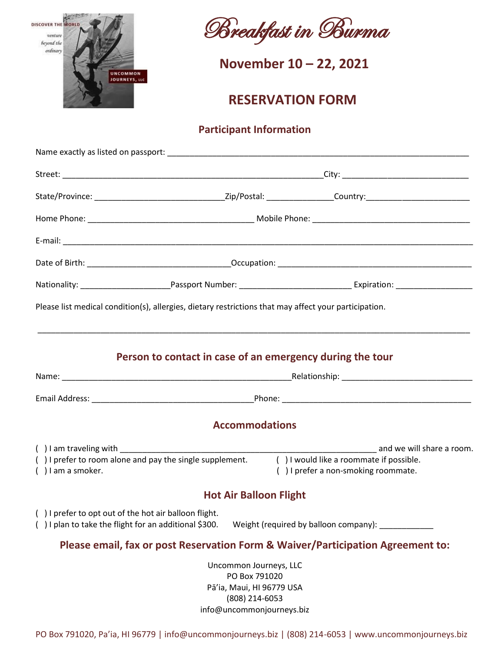



**November 10 – 22, 2021**<br> **COURNEYS, LIC** 

## **RESERVATION FORM**

## **Participant Information**

|                                                        | Please list medical condition(s), allergies, dietary restrictions that may affect your participation.               |  |                                     |                           |
|--------------------------------------------------------|---------------------------------------------------------------------------------------------------------------------|--|-------------------------------------|---------------------------|
|                                                        | Person to contact in case of an emergency during the tour                                                           |  |                                     |                           |
|                                                        |                                                                                                                     |  |                                     |                           |
|                                                        |                                                                                                                     |  |                                     |                           |
|                                                        | <b>Accommodations</b>                                                                                               |  |                                     |                           |
| () I am traveling with _______<br>$( )$ I am a smoker. | () I prefer to room alone and pay the single supplement. () I would like a roommate if possible.                    |  | () I prefer a non-smoking roommate. | and we will share a room. |
|                                                        | <b>Hot Air Balloon Flight</b>                                                                                       |  |                                     |                           |
| () I prefer to opt out of the hot air balloon flight.  | () I plan to take the flight for an additional \$300. Weight (required by balloon company): _________               |  |                                     |                           |
|                                                        | Please email, fax or post Reservation Form & Waiver/Participation Agreement to:                                     |  |                                     |                           |
|                                                        | Uncommon Journeys, LLC<br>PO Box 791020<br>Pā'ia, Maui, HI 96779 USA<br>(808) 214-6053<br>info@uncommonjourneys.biz |  |                                     |                           |

PO Box 791020, Pa'ia, HI 96779 | info@uncommonjourneys.biz | (808) 214-6053 | www.uncommonjourneys.biz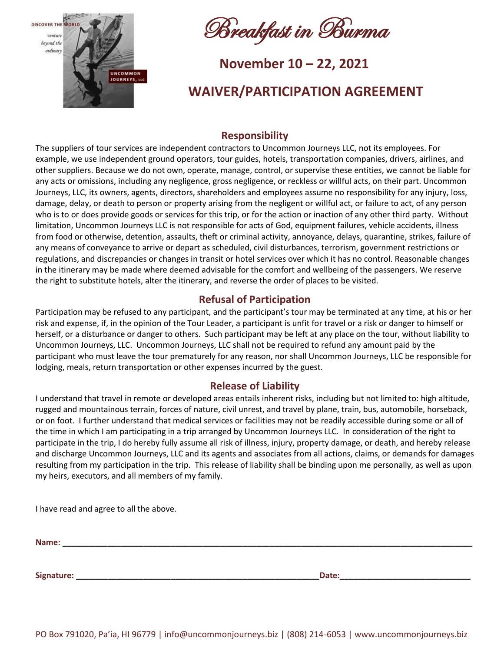

Breakfast in Burma

# **November 10 – 22, 2021**<br> **COURNEYS, LG**

## **WAIVER/PARTICIPATION AGREEMENT**

## **Responsibility**

The suppliers of tour services are independent contractors to Uncommon Journeys LLC, not its employees. For example, we use independent ground operators, tour guides, hotels, transportation companies, drivers, airlines, and other suppliers. Because we do not own, operate, manage, control, or supervise these entities, we cannot be liable for any acts or omissions, including any negligence, gross negligence, or reckless or willful acts, on their part. Uncommon Journeys, LLC, its owners, agents, directors, shareholders and employees assume no responsibility for any injury, loss, damage, delay, or death to person or property arising from the negligent or willful act, or failure to act, of any person who is to or does provide goods or services for this trip, or for the action or inaction of any other third party. Without limitation, Uncommon Journeys LLC is not responsible for acts of God, equipment failures, vehicle accidents, illness from food or otherwise, detention, assaults, theft or criminal activity, annoyance, delays, quarantine, strikes, failure of any means of conveyance to arrive or depart as scheduled, civil disturbances, terrorism, government restrictions or regulations, and discrepancies or changes in transit or hotel services over which it has no control. Reasonable changes in the itinerary may be made where deemed advisable for the comfort and wellbeing of the passengers. We reserve the right to substitute hotels, alter the itinerary, and reverse the order of places to be visited.

## **Refusal of Participation**

Participation may be refused to any participant, and the participant's tour may be terminated at any time, at his or her risk and expense, if, in the opinion of the Tour Leader, a participant is unfit for travel or a risk or danger to himself or herself, or a disturbance or danger to others. Such participant may be left at any place on the tour, without liability to Uncommon Journeys, LLC. Uncommon Journeys, LLC shall not be required to refund any amount paid by the participant who must leave the tour prematurely for any reason, nor shall Uncommon Journeys, LLC be responsible for lodging, meals, return transportation or other expenses incurred by the guest.

### **Release of Liability**

I understand that travel in remote or developed areas entails inherent risks, including but not limited to: high altitude, rugged and mountainous terrain, forces of nature, civil unrest, and travel by plane, train, bus, automobile, horseback, or on foot. I further understand that medical services or facilities may not be readily accessible during some or all of the time in which I am participating in a trip arranged by Uncommon Journeys LLC. In consideration of the right to participate in the trip, I do hereby fully assume all risk of illness, injury, property damage, or death, and hereby release and discharge Uncommon Journeys, LLC and its agents and associates from all actions, claims, or demands for damages resulting from my participation in the trip. This release of liability shall be binding upon me personally, as well as upon my heirs, executors, and all members of my family.

I have read and agree to all the above.

**Name: \_\_\_\_\_\_\_\_\_\_\_\_\_\_\_\_\_\_\_\_\_\_\_\_\_\_\_\_\_\_\_\_\_\_\_\_\_\_\_\_\_\_\_\_\_\_\_\_\_\_\_\_\_\_\_\_\_\_\_\_\_\_\_\_\_\_\_\_\_\_\_\_\_\_\_\_\_\_\_\_\_\_\_\_\_\_\_\_\_\_\_**

**Signature: \_\_\_\_\_\_\_\_\_\_\_\_\_\_\_\_\_\_\_\_\_\_\_\_\_\_\_\_\_\_\_\_\_\_\_\_\_\_\_\_\_\_\_\_\_\_\_\_\_\_\_\_\_\_Date:\_\_\_\_\_\_\_\_\_\_\_\_\_\_\_\_\_\_\_\_\_\_\_\_\_\_\_\_\_**